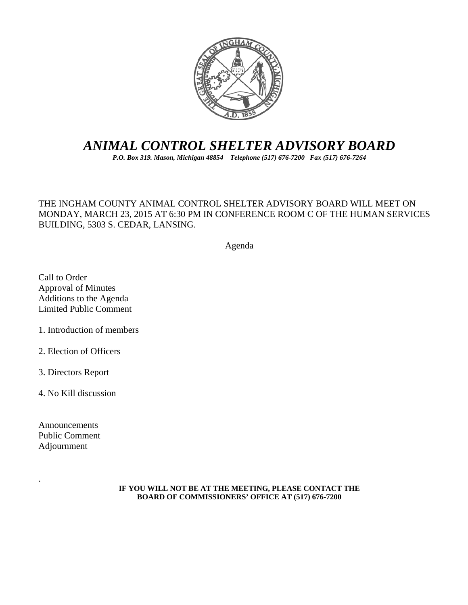

# *ANIMAL CONTROL SHELTER ADVISORY BOARD*

*P.O. Box 319. Mason, Michigan 48854 Telephone (517) 676-7200 Fax (517) 676-7264*

#### THE INGHAM COUNTY ANIMAL CONTROL SHELTER ADVISORY BOARD WILL MEET ON MONDAY, MARCH 23, 2015 AT 6:30 PM IN CONFERENCE ROOM C OF THE HUMAN SERVICES BUILDING, 5303 S. CEDAR, LANSING.

Agenda

Call to Order Approval of Minutes Additions to the Agenda Limited Public Comment

1. Introduction of members

2. Election of Officers

3. Directors Report

4. No Kill discussion

Announcements Public Comment Adjournment

.

#### **IF YOU WILL NOT BE AT THE MEETING, PLEASE CONTACT THE BOARD OF COMMISSIONERS' OFFICE AT (517) 676-7200**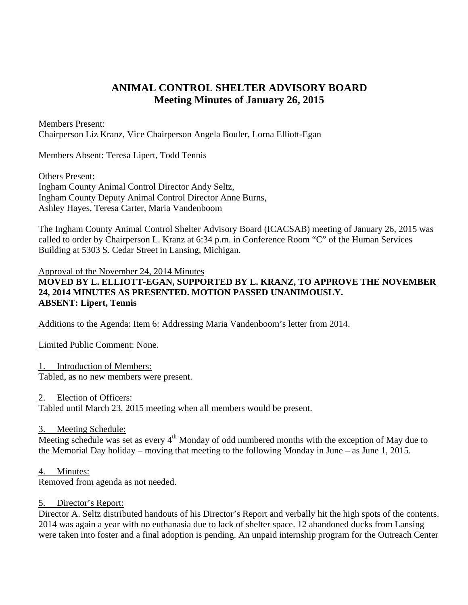## **ANIMAL CONTROL SHELTER ADVISORY BOARD Meeting Minutes of January 26, 2015**

Members Present: Chairperson Liz Kranz, Vice Chairperson Angela Bouler, Lorna Elliott-Egan

Members Absent: Teresa Lipert, Todd Tennis

Others Present: Ingham County Animal Control Director Andy Seltz, Ingham County Deputy Animal Control Director Anne Burns, Ashley Hayes, Teresa Carter, Maria Vandenboom

The Ingham County Animal Control Shelter Advisory Board (ICACSAB) meeting of January 26, 2015 was called to order by Chairperson L. Kranz at 6:34 p.m. in Conference Room "C" of the Human Services Building at 5303 S. Cedar Street in Lansing, Michigan.

Approval of the November 24, 2014 Minutes

### **MOVED BY L. ELLIOTT-EGAN, SUPPORTED BY L. KRANZ, TO APPROVE THE NOVEMBER 24, 2014 MINUTES AS PRESENTED. MOTION PASSED UNANIMOUSLY. ABSENT: Lipert, Tennis**

Additions to the Agenda: Item 6: Addressing Maria Vandenboom's letter from 2014.

Limited Public Comment: None.

1. Introduction of Members:

Tabled, as no new members were present.

2. Election of Officers:

Tabled until March 23, 2015 meeting when all members would be present.

3. Meeting Schedule:

Meeting schedule was set as every  $4<sup>th</sup>$  Monday of odd numbered months with the exception of May due to the Memorial Day holiday – moving that meeting to the following Monday in June – as June 1, 2015.

4. Minutes:

Removed from agenda as not needed.

#### 5. Director's Report:

Director A. Seltz distributed handouts of his Director's Report and verbally hit the high spots of the contents. 2014 was again a year with no euthanasia due to lack of shelter space. 12 abandoned ducks from Lansing were taken into foster and a final adoption is pending. An unpaid internship program for the Outreach Center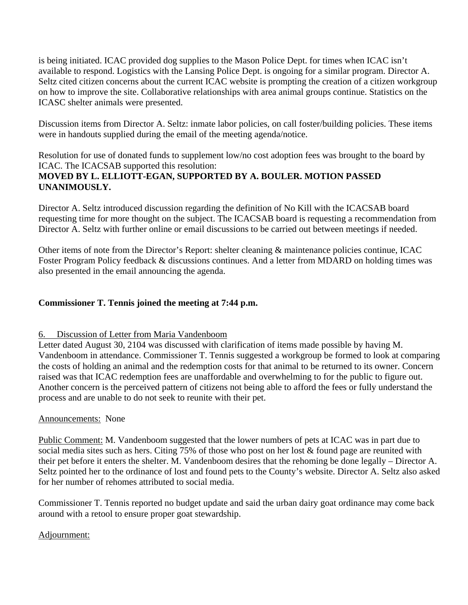is being initiated. ICAC provided dog supplies to the Mason Police Dept. for times when ICAC isn't available to respond. Logistics with the Lansing Police Dept. is ongoing for a similar program. Director A. Seltz cited citizen concerns about the current ICAC website is prompting the creation of a citizen workgroup on how to improve the site. Collaborative relationships with area animal groups continue. Statistics on the ICASC shelter animals were presented.

Discussion items from Director A. Seltz: inmate labor policies, on call foster/building policies. These items were in handouts supplied during the email of the meeting agenda/notice.

Resolution for use of donated funds to supplement low/no cost adoption fees was brought to the board by ICAC. The ICACSAB supported this resolution: **MOVED BY L. ELLIOTT-EGAN, SUPPORTED BY A. BOULER. MOTION PASSED UNANIMOUSLY.** 

Director A. Seltz introduced discussion regarding the definition of No Kill with the ICACSAB board requesting time for more thought on the subject. The ICACSAB board is requesting a recommendation from Director A. Seltz with further online or email discussions to be carried out between meetings if needed.

Other items of note from the Director's Report: shelter cleaning & maintenance policies continue, ICAC Foster Program Policy feedback & discussions continues. And a letter from MDARD on holding times was also presented in the email announcing the agenda.

#### **Commissioner T. Tennis joined the meeting at 7:44 p.m.**

#### 6. Discussion of Letter from Maria Vandenboom

Letter dated August 30, 2104 was discussed with clarification of items made possible by having M. Vandenboom in attendance. Commissioner T. Tennis suggested a workgroup be formed to look at comparing the costs of holding an animal and the redemption costs for that animal to be returned to its owner. Concern raised was that ICAC redemption fees are unaffordable and overwhelming to for the public to figure out. Another concern is the perceived pattern of citizens not being able to afford the fees or fully understand the process and are unable to do not seek to reunite with their pet.

#### Announcements: None

Public Comment: M. Vandenboom suggested that the lower numbers of pets at ICAC was in part due to social media sites such as hers. Citing 75% of those who post on her lost & found page are reunited with their pet before it enters the shelter. M. Vandenboom desires that the rehoming be done legally – Director A. Seltz pointed her to the ordinance of lost and found pets to the County's website. Director A. Seltz also asked for her number of rehomes attributed to social media.

Commissioner T. Tennis reported no budget update and said the urban dairy goat ordinance may come back around with a retool to ensure proper goat stewardship.

#### Adjournment: